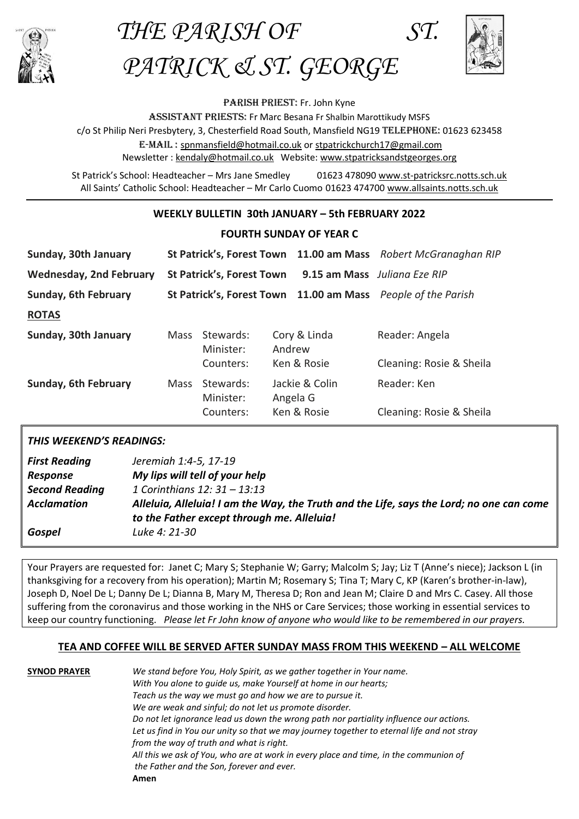

*THE PARISH OF ST. PATRICK & ST. GEORGE*



PARISH PRIEST: Fr. John Kyne

ASSISTANT PRIESTS: Fr Marc Besana Fr Shalbin Marottikudy MSFS

c/o St Philip Neri Presbytery, 3, Chesterfield Road South, Mansfield NG19 Telephone: 01623 623458

### E-Mail : [spnmansfield@hotmail.co.uk](mailto:spnmansfield@hotmail.co.uk) or [stpatrickchurch17@gmail.com](mailto:stpatrickchurch17@gmail.com)

Newsletter [: kendaly@hotmail.co.uk](mailto:kendaly@hotmail.co.uk) Website: [www.stpatricksandstgeorges.org](http://www.stpatricksandstgeorges.org/)

St Patrick's School: Headteacher – Mrs Jane Smedley 01623 478090 [www.st-patricksrc.notts.sch.uk](http://www.st-patricksrc.notts.sch.uk/) All Saints' Catholic School: Headteacher – Mr Carlo Cuomo 01623 474700 [www.allsaints.notts.sch.uk](http://www.allsaints.notts.sch.uk/)

# **WEEKLY BULLETIN 30th JANUARY – 5th FEBRUARY 2022**

## **FOURTH SUNDAY OF YEAR C**

| Sunday, 30th January           |                                       |                        |                        | St Patrick's, Forest Town 11.00 am Mass Robert McGranaghan RIP |                                                              |
|--------------------------------|---------------------------------------|------------------------|------------------------|----------------------------------------------------------------|--------------------------------------------------------------|
| <b>Wednesday, 2nd February</b> | <b>St Patrick's, Forest Town</b>      |                        |                        | <b>9.15 am Mass</b> Juliana Eze RIP                            |                                                              |
| <b>Sunday, 6th February</b>    |                                       |                        |                        |                                                                | St Patrick's, Forest Town 11.00 am Mass People of the Parish |
| <b>ROTAS</b>                   |                                       |                        |                        |                                                                |                                                              |
| Sunday, 30th January           | Stewards:<br><b>Mass</b><br>Minister: |                        | Cory & Linda<br>Andrew |                                                                | Reader: Angela                                               |
|                                |                                       | Counters:              |                        | Ken & Rosie                                                    | Cleaning: Rosie & Sheila                                     |
| Sunday, 6th February           | <b>Mass</b>                           | Stewards:<br>Minister: |                        | Jackie & Colin<br>Angela G                                     | Reader: Ken                                                  |
|                                |                                       | Counters:              |                        | Ken & Rosie                                                    | Cleaning: Rosie & Sheila                                     |

# *THIS WEEKEND'S READINGS:*

| <b>First Reading</b><br>Response | Jeremiah 1:4-5, 17-19<br>My lips will tell of your help                                  |
|----------------------------------|------------------------------------------------------------------------------------------|
| <b>Second Reading</b>            | 1 Corinthians 12: 31 - 13:13                                                             |
| <b>Acclamation</b>               | Alleluia, Alleluia! I am the Way, the Truth and the Life, says the Lord; no one can come |
|                                  | to the Father except through me. Alleluia!                                               |
| Gospel                           | Luke 4: 21-30                                                                            |

Your Prayers are requested for: Janet C; Mary S; Stephanie W; Garry; Malcolm S; Jay; Liz T (Anne's niece); Jackson L (in thanksgiving for a recovery from his operation); Martin M; Rosemary S; Tina T; Mary C, KP (Karen's brother-in-law), Joseph D, Noel De L; Danny De L; Dianna B, Mary M, Theresa D; Ron and Jean M; Claire D and Mrs C. Casey. All those suffering from the coronavirus and those working in the NHS or Care Services; those working in essential services to keep our country functioning. *Please let Fr John know of anyone who would like to be remembered in our prayers.*

# **TEA AND COFFEE WILL BE SERVED AFTER SUNDAY MASS FROM THIS WEEKEND – ALL WELCOME**

**SYNOD PRAYER** *We stand before You, Holy Spirit, as we gather together in Your name. With You alone to guide us, make Yourself at home in our hearts; Teach us the way we must go and how we are to pursue it. We are weak and sinful; do not let us promote disorder. Do not let ignorance lead us down the wrong path nor partiality influence our actions. Let us find in You our unity so that we may journey together to eternal life and not stray from the way of truth and what is right. All this we ask of You, who are at work in every place and time, in the communion of the Father and the Son, forever and ever.* **Amen**